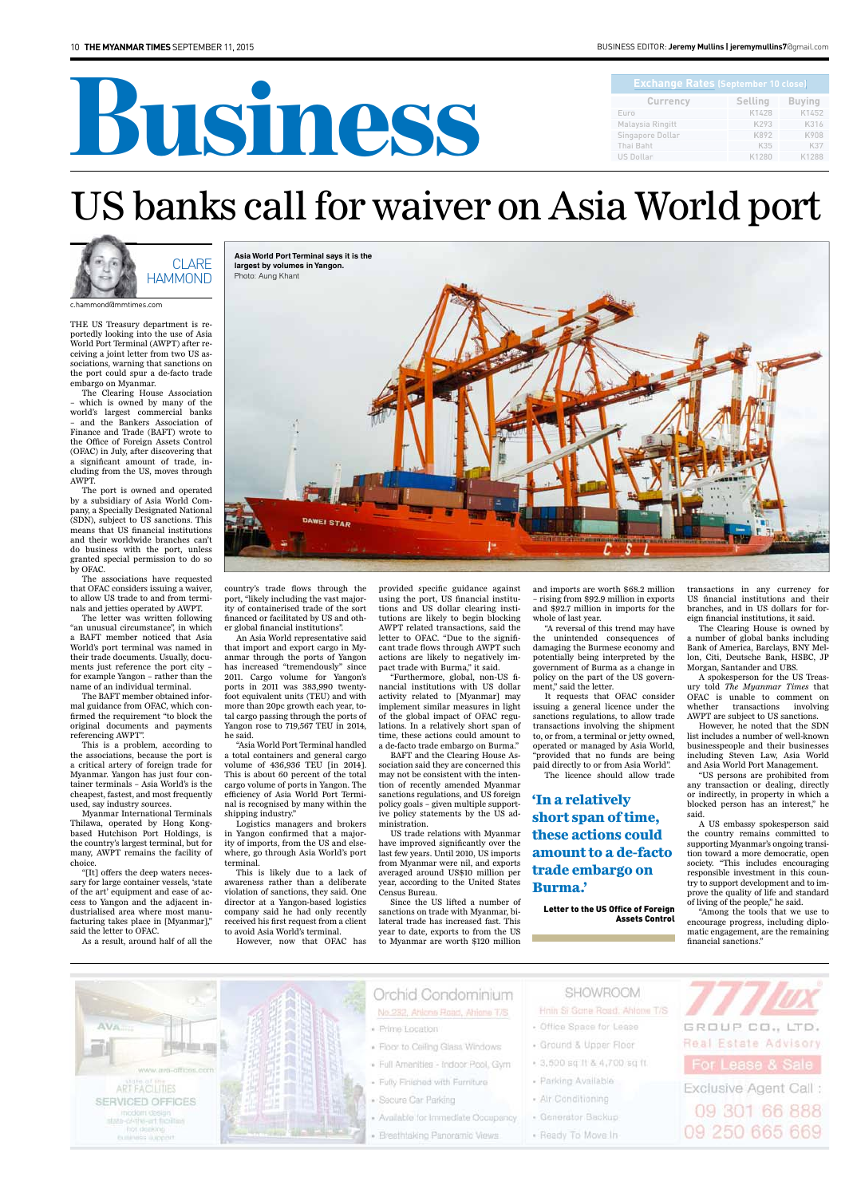# Business

#### bUSINeSS edItor: **Jeremy Mullins | jeremymullins7**@gmail.com

| <b>Exchange Rates (September 10 close)</b> |                |               |
|--------------------------------------------|----------------|---------------|
| <b>Currency</b>                            | <b>Selling</b> | <b>Buying</b> |
| Euro                                       | K1428          | K1452         |
| Malaysia Ringitt                           | K293           | K316          |
| Singapore Dollar                           | K892           | K908          |
| Thai Baht                                  | K35            | K37           |
| <b>US Dollar</b>                           | K1280          | K1288         |

THE US Treasury department is reportedly looking into the use of Asia World Port Terminal (AWPT) after receiving a joint letter from two US associations, warning that sanctions on the port could spur a de-facto trade embargo on Myanmar.

The Clearing House Association – which is owned by many of the world's largest commercial banks – and the Bankers Association of Finance and Trade (BAFT) wrote to the Office of Foreign Assets Control (OFAC) in July, after discovering that a significant amount of trade, including from the US, moves through AWPT.

The port is owned and operated by a subsidiary of Asia World Company, a Specially Designated National (SDN), subject to US sanctions. This means that US financial institutions and their worldwide branches can't do business with the port, unless granted special permission to do so by OFAC.

The associations have requested that OFAC considers issuing a waiver, to allow US trade to and from terminals and jetties operated by AWPT.

The letter was written following "an unusual circumstance", in which a BAFT member noticed that Asia World's port terminal was named in their trade documents. Usually, documents just reference the port city – for example Yangon – rather than the name of an individual terminal.

The BAFT member obtained informal guidance from OFAC, which confirmed the requirement "to block the original documents and payments referencing AWPT".

This is a problem, according to the associations, because the port is a critical artery of foreign trade for Myanmar. Yangon has just four container terminals – Asia World's is the cheapest, fastest, and most frequently used, say industry sources.

Myanmar International Terminals Thilawa, operated by Hong Kongbased Hutchison Port Holdings, is the country's largest terminal, but for many, AWPT remains the facility of choice.

"[It] offers the deep waters necessary for large container vessels, 'state of the art' equipment and ease of access to Yangon and the adjacent industrialised area where most manufacturing takes place in [Myanmar],"

said the letter to OFAC. As a result, around half of all the

country's trade flows through the port, "likely including the vast majority of containerised trade of the sort financed or facilitated by US and other global financial institutions".

An Asia World representative said that import and export cargo in Myanmar through the ports of Yangon has increased "tremendously" since 2011. Cargo volume for Yangon's ports in 2011 was 383,990 twentyfoot equivalent units (TEU) and with more than 20pc growth each year, total cargo passing through the ports of Yangon rose to 719,567 TEU in 2014, he said.

"Asia World Port Terminal handled a total containers and general cargo volume of 436,936 TEU [in 2014]. This is about 60 percent of the total cargo volume of ports in Yangon. The efficiency of Asia World Port Terminal is recognised by many within the shipping industry."

Logistics managers and brokers in Yangon confirmed that a majority of imports, from the US and elsewhere, go through Asia World's port terminal.

provided specific guidance against using the port, US financial institutions and US dollar clearing institutions are likely to begin blocking AWPT related transactions, said the letter to OFAC. "Due to the significant trade flows through AWPT such actions are likely to negatively impact trade with Burma," it said.

"Furthermore, global, non-US financial institutions with US dollar activity related to [Myanmar] may implement similar measures in light of the global impact of OFAC regulations. In a relatively short span of time, these actions could amount to a de-facto trade embargo on Burma."

This is likely due to a lack of awareness rather than a deliberate violation of sanctions, they said. One director at a Yangon-based logistics company said he had only recently received his first request from a client to avoid Asia World's terminal. However, now that OFAC has Census Bureau. year to date, exports to from the US to Myanmar are worth \$120 million

BAFT and the Clearing House Association said they are concerned this may not be consistent with the intention of recently amended Myanmar sanctions regulations, and US foreign policy goals – given multiple supportive policy statements by the US administration.

US trade relations with Myanmar have improved significantly over the last few years. Until 2010, US imports from Myanmar were nil, and exports averaged around US\$10 million per year, according to the United States

Since the US lifted a number of sanctions on trade with Myanmar, bilateral trade has increased fast. This and imports are worth \$68.2 million – rising from \$92.9 million in exports and \$92.7 million in imports for the whole of last year.

"A reversal of this trend may have the unintended consequences of damaging the Burmese economy and potentially being interpreted by the government of Burma as a change in policy on the part of the US government," said the letter.

It requests that OFAC consider issuing a general licence under the sanctions regulations, to allow trade transactions involving the shipment to, or from, a terminal or jetty owned, operated or managed by Asia World, "provided that no funds are being paid directly to or from Asia World". The licence should allow trade

transactions in any currency for US financial institutions and their branches, and in US dollars for foreign financial institutions, it said.

The Clearing House is owned by a number of global banks including Bank of America, Barclays, BNY Mellon, Citi, Deutsche Bank, HSBC, JP Morgan, Santander and UBS.

A spokesperson for the US Treasury told *The Myanmar Times* that OFAC is unable to comment on whether transactions involving AWPT are subject to US sanctions.

However, he noted that the SDN list includes a number of well-known businesspeople and their businesses including Steven Law, Asia World and Asia World Port Management.

"US persons are prohibited from any transaction or dealing, directly or indirectly, in property in which a blocked person has an interest," he said.

A US embassy spokesperson said the country remains committed to supporting Myanmar's ongoing transition toward a more democratic, open society. "This includes encouraging responsible investment in this country to support development and to improve the quality of life and standard of living of the people," he said.

"Among the tools that we use to encourage progress, including diplo-

matic engagement, are the remaining financial sanctions."



## US banks call for waiver on Asia World port

**Asia World Port Terminal says it is the largest by volumes in Yangon.**  Photo: Aung Khant



c.hammond@mmtimes.com

#### **'In a relatively short span of time, these actions could amount to a de-facto trade embargo on Burma.'**

#### Letter to the US Office of Foreign Assets Control